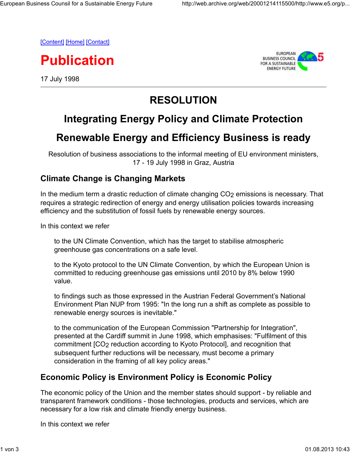[Content] [Home] [Contact]

**Publication**

17 July 1998



# **RESOLUTION**

## **Integrating Energy Policy and Climate Protection**

### **Renewable Energy and Efficiency Business is ready**

Resolution of business associations to the informal meeting of EU environment ministers, 17 - 19 July 1998 in Graz, Austria

#### **Climate Change is Changing Markets**

In the medium term a drastic reduction of climate changing  $CO<sub>2</sub>$  emissions is necessary. That requires a strategic redirection of energy and energy utilisation policies towards increasing efficiency and the substitution of fossil fuels by renewable energy sources.

In this context we refer

to the UN Climate Convention, which has the target to stabilise atmospheric greenhouse gas concentrations on a safe level.

to the Kyoto protocol to the UN Climate Convention, by which the European Union is committed to reducing greenhouse gas emissions until 2010 by 8% below 1990 value.

to findings such as those expressed in the Austrian Federal Government's National Environment Plan NUP from 1995: "In the long run a shift as complete as possible to renewable energy sources is inevitable."

to the communication of the European Commission "Partnership for Integration", presented at the Cardiff summit in June 1998, which emphasises: "Fulfilment of this commitment [CO2 reduction according to Kyoto Protocol], and recognition that subsequent further reductions will be necessary, must become a primary consideration in the framing of all key policy areas."

#### **Economic Policy is Environment Policy is Economic Policy**

The economic policy of the Union and the member states should support - by reliable and transparent framework conditions - those technologies, products and services, which are necessary for a low risk and climate friendly energy business.

In this context we refer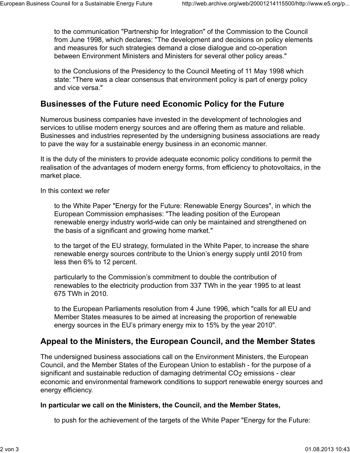to the communication "Partnership for Integration" of the Commission to the Council from June 1998, which declares: "The development and decisions on policy elements and measures for such strategies demand a close dialogue and co-operation between Environment Ministers and Ministers for several other policy areas."

to the Conclusions of the Presidency to the Council Meeting of 11 May 1998 which state: "There was a clear consensus that environment policy is part of energy policy and vice versa."

#### **Businesses of the Future need Economic Policy for the Future**

Numerous business companies have invested in the development of technologies and services to utilise modern energy sources and are offering them as mature and reliable. Businesses and industries represented by the undersigning business associations are ready to pave the way for a sustainable energy business in an economic manner.

It is the duty of the ministers to provide adequate economic policy conditions to permit the realisation of the advantages of modern energy forms, from efficiency to photovoltaics, in the market place.

In this context we refer

to the White Paper "Energy for the Future: Renewable Energy Sources", in which the European Commission emphasises: "The leading position of the European renewable energy industry world-wide can only be maintained and strengthened on the basis of a significant and growing home market."

to the target of the EU strategy, formulated in the White Paper, to increase the share renewable energy sources contribute to the Union's energy supply until 2010 from less then 6% to 12 percent.

particularly to the Commission's commitment to double the contribution of renewables to the electricity production from 337 TWh in the year 1995 to at least 675 TWh in 2010.

to the European Parliaments resolution from 4 June 1996, which "calls for all EU and Member States measures to be aimed at increasing the proportion of renewable energy sources in the EU's primary energy mix to 15% by the year 2010".

### **Appeal to the Ministers, the European Council, and the Member States**

The undersigned business associations call on the Environment Ministers, the European Council, and the Member States of the European Union to establish - for the purpose of a significant and sustainable reduction of damaging detrimental CO<sub>2</sub> emissions - clear economic and environmental framework conditions to support renewable energy sources and energy efficiency.

#### **In particular we call on the Ministers, the Council, and the Member States,**

to push for the achievement of the targets of the White Paper "Energy for the Future: